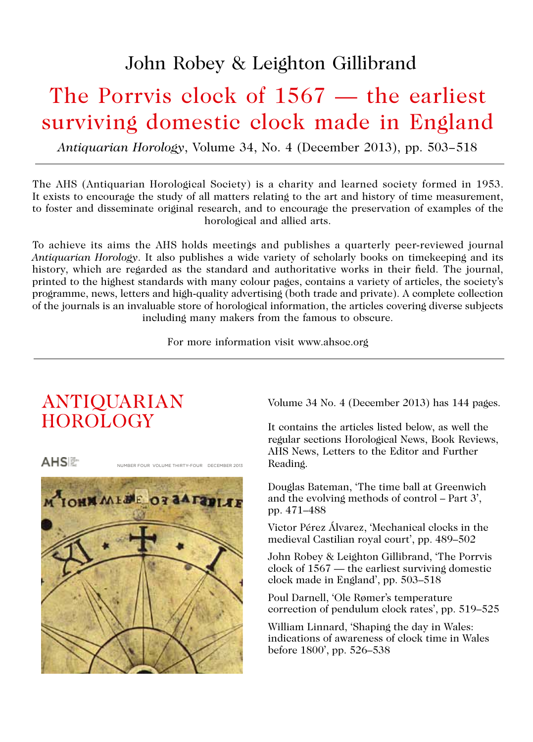# John Robey & Leighton Gillibrand

# The Porrvis clock of 1567 — the earliest surviving domestic clock made in England

*Antiquarian Horology*, Volume 34, No. 4 (December 2013), pp. 503*−*518

The AHS (Antiquarian Horological Society) is a charity and learned society formed in 1953. It exists to encourage the study of all matters relating to the art and history of time measurement, to foster and disseminate original research, and to encourage the preservation of examples of the horological and allied arts.

To achieve its aims the AHS holds meetings and publishes a quarterly peer-reviewed journal *Antiquarian Horology*. It also publishes a wide variety of scholarly books on timekeeping and its history, which are regarded as the standard and authoritative works in their field. The journal, printed to the highest standards with many colour pages, contains a variety of articles, the society's programme, news, letters and high-quality advertising (both trade and private). A complete collection of the journals is an invaluable store of horological information, the articles covering diverse subjects including many makers from the famous to obscure.

For more information visit www.ahsoc.org

# ANTIQUARIAN **HOROLOGY**



Volume 34 No. 4 (December 2013) has 144 pages.

It contains the articles listed below, as well the regular sections Horological News, Book Reviews, AHS News, Letters to the Editor and Further Reading.

Douglas Bateman, 'The time ball at Greenwich and the evolving methods of control – Part 3', pp. 471–488

Victor Pérez Álvarez, 'Mechanical clocks in the medieval Castilian royal court', pp. 489–502

John Robey & Leighton Gillibrand, 'The Porrvis clock of 1567 — the earliest surviving domestic clock made in England', pp. 503–518

Poul Darnell, 'Ole Rømer's temperature correction of pendulum clock rates', pp. 519–525

William Linnard, 'Shaping the day in Wales: indications of awareness of clock time in Wales before 1800', pp. 526–538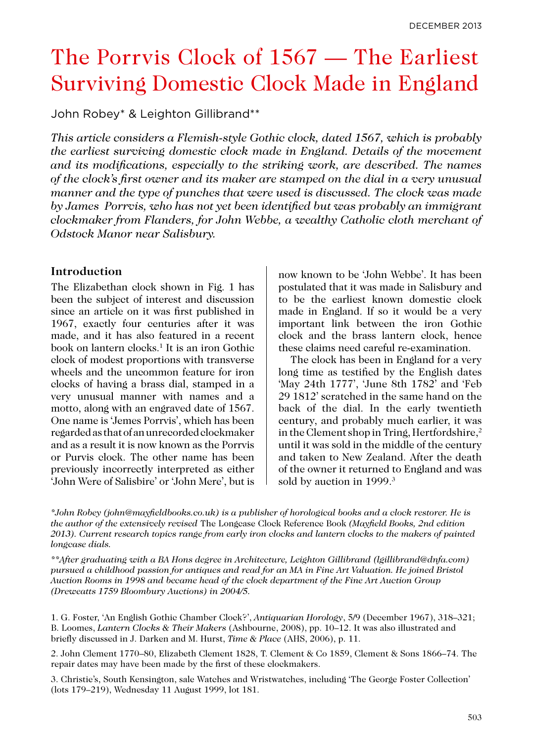# The Porrvis Clock of 1567 — The Earliest Surviving Domestic Clock Made in England

John Robey\* & Leighton Gillibrand\*\*

*This article considers a Flemish-style Gothic clock, dated 1567, which is probably the earliest surviving domestic clock made in England. Details of the movement and its modifications, especially to the striking work, are described. The names of the clock's first owner and its maker are stamped on the dial in a very unusual manner and the type of punches that were used is discussed. The clock was made by James Porrvis, who has not yet been identified but was probably an immigrant clockmaker from Flanders, for John Webbe, a wealthy Catholic cloth merchant of Odstock Manor near Salisbury.*

### **Introduction**

The Elizabethan clock shown in Fig. 1 has been the subject of interest and discussion since an article on it was first published in 1967, exactly four centuries after it was made, and it has also featured in a recent book on lantern clocks.1 It is an iron Gothic clock of modest proportions with transverse wheels and the uncommon feature for iron clocks of having a brass dial, stamped in a very unusual manner with names and a motto, along with an engraved date of 1567. One name is 'Jemes Porrvis', which has been regarded as that of an unrecorded clockmaker and as a result it is now known as the Porrvis or Purvis clock. The other name has been previously incorrectly interpreted as either 'John Were of Salisbire' or 'John Mere', but is

now known to be 'John Webbe'. It has been postulated that it was made in Salisbury and to be the earliest known domestic clock made in England. If so it would be a very important link between the iron Gothic clock and the brass lantern clock, hence these claims need careful re-examination.

The clock has been in England for a very long time as testified by the English dates 'May 24th 1777', 'June 8th 1782' and 'Feb 29 1812' scratched in the same hand on the back of the dial. In the early twentieth century, and probably much earlier, it was in the Clement shop in Tring, Hertfordshire,<sup>2</sup> until it was sold in the middle of the century and taken to New Zealand. After the death of the owner it returned to England and was sold by auction in 1999.<sup>3</sup>

*\*John Robey (john@mayfieldbooks.co.uk) is a publisher of horological books and a clock restorer. He is the author of the extensively revised* The Longcase Clock Reference Book *(Mayfield Books, 2nd edition 2013). Current research topics range from early iron clocks and lantern clocks to the makers of painted longcase dials.*

*\*\*After graduating with a BA Hons degree in Architecture, Leighton Gillibrand (lgillibrand@dnfa.com) pursued a childhood passion for antiques and read for an MA in Fine Art Valuation. He joined Bristol Auction Rooms in 1998 and became head of the clock department of the Fine Art Auction Group (Dreweatts 1759 Bloombury Auctions) in 2004/5.* 

1. G. Foster, 'An English Gothic Chamber Clock?', *Antiquarian Horology*, 5/9 (December 1967), 318–321; B. Loomes, *Lantern Clocks & Their Makers* (Ashbourne, 2008), pp. 10–12. It was also illustrated and briefly discussed in J. Darken and M. Hurst, *Time & Place* (AHS, 2006), p. 11.

2. John Clement 1770–80, Elizabeth Clement 1828, T. Clement & Co 1859, Clement & Sons 1866–74. The repair dates may have been made by the first of these clockmakers.

3. Christie's, South Kensington, sale Watches and Wristwatches, including 'The George Foster Collection' (lots 179–219), Wednesday 11 August 1999, lot 181.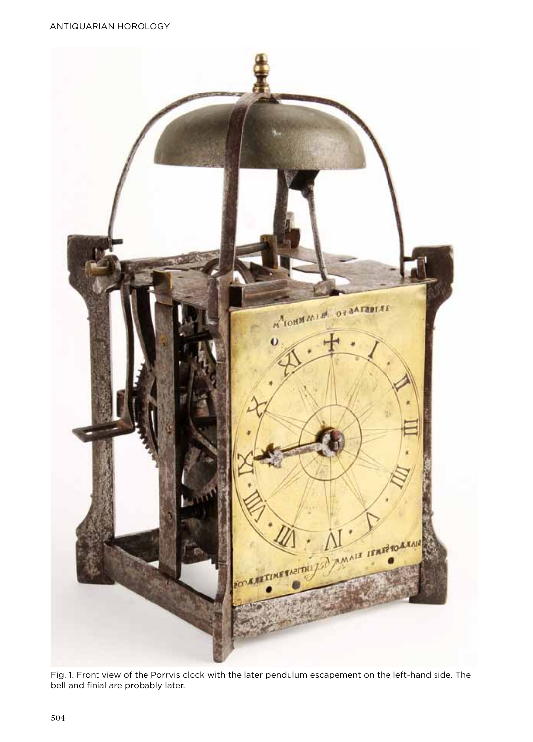Antiquarian Horology



Fig. 1. Front view of the Porrvis clock with the later pendulum escapement on the left-hand side. The bell and finial are probably later.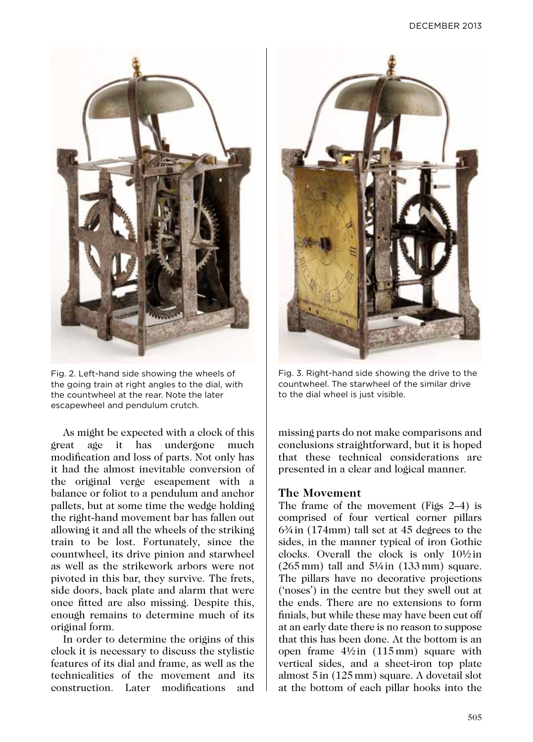

Fig. 2. Left-hand side showing the wheels of the going train at right angles to the dial, with the countwheel at the rear. Note the later escapewheel and pendulum crutch.

As might be expected with a clock of this great age it has undergone much modification and loss of parts. Not only has it had the almost inevitable conversion of the original verge escapement with a balance or foliot to a pendulum and anchor pallets, but at some time the wedge holding the right-hand movement bar has fallen out allowing it and all the wheels of the striking train to be lost. Fortunately, since the countwheel, its drive pinion and starwheel as well as the strikework arbors were not pivoted in this bar, they survive. The frets, side doors, back plate and alarm that were once fitted are also missing. Despite this, enough remains to determine much of its original form.

In order to determine the origins of this clock it is necessary to discuss the stylistic features of its dial and frame, as well as the technicalities of the movement and its construction. Later modifications and



Fig. 3. Right-hand side showing the drive to the countwheel. The starwheel of the similar drive to the dial wheel is just visible.

missing parts do not make comparisons and conclusions straightforward, but it is hoped that these technical considerations are presented in a clear and logical manner.

# **The Movement**

The frame of the movement (Figs 2–4) is comprised of four vertical corner pillars 6¾ in (174mm) tall set at 45 degrees to the sides, in the manner typical of iron Gothic clocks. Overall the clock is only 10½ in  $(265 \text{ mm})$  tall and  $5\frac{1}{4}$  in  $(133 \text{ mm})$  square. The pillars have no decorative projections ('noses') in the centre but they swell out at the ends. There are no extensions to form finials, but while these may have been cut off at an early date there is no reason to suppose that this has been done. At the bottom is an open frame  $4\frac{1}{2}$  in  $(115 \text{ mm})$  square with vertical sides, and a sheet-iron top plate almost 5 in (125 mm) square. A dovetail slot at the bottom of each pillar hooks into the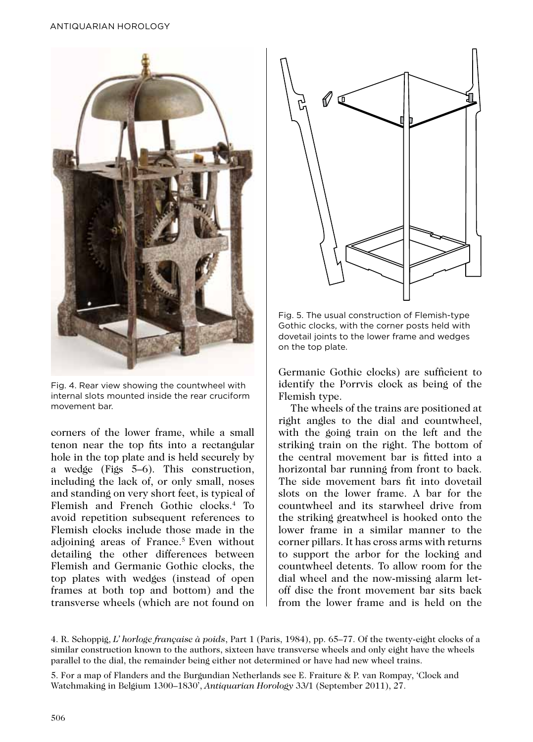

Fig. 4. Rear view showing the countwheel with internal slots mounted inside the rear cruciform movement bar.

corners of the lower frame, while a small tenon near the top fits into a rectangular hole in the top plate and is held securely by a wedge (Figs 5–6). This construction, including the lack of, or only small, noses and standing on very short feet, is typical of Flemish and French Gothic clocks.4 To avoid repetition subsequent references to Flemish clocks include those made in the adioining areas of France.<sup>5</sup> Even without detailing the other differences between Flemish and Germanic Gothic clocks, the top plates with wedges (instead of open frames at both top and bottom) and the transverse wheels (which are not found on



Fig. 5. The usual construction of Flemish-type Gothic clocks, with the corner posts held with dovetail joints to the lower frame and wedges on the top plate.

Germanic Gothic clocks) are sufficient to identify the Porrvis clock as being of the Flemish type.

The wheels of the trains are positioned at right angles to the dial and countwheel, with the going train on the left and the striking train on the right. The bottom of the central movement bar is fitted into a horizontal bar running from front to back. The side movement bars fit into dovetail slots on the lower frame. A bar for the countwheel and its starwheel drive from the striking greatwheel is hooked onto the lower frame in a similar manner to the corner pillars. It has cross arms with returns to support the arbor for the locking and countwheel detents. To allow room for the dial wheel and the now-missing alarm letoff disc the front movement bar sits back from the lower frame and is held on the

5. For a map of Flanders and the Burgundian Netherlands see E. Fraiture & P. van Rompay, 'Clock and Watchmaking in Belgium 1300–1830', *Antiquarian Horology* 33/1 (September 2011), 27.

<sup>4.</sup> R. Schoppig, *L' horloge française à poids*, Part 1 (Paris, 1984), pp. 65–77. Of the twenty-eight clocks of a similar construction known to the authors, sixteen have transverse wheels and only eight have the wheels parallel to the dial, the remainder being either not determined or have had new wheel trains.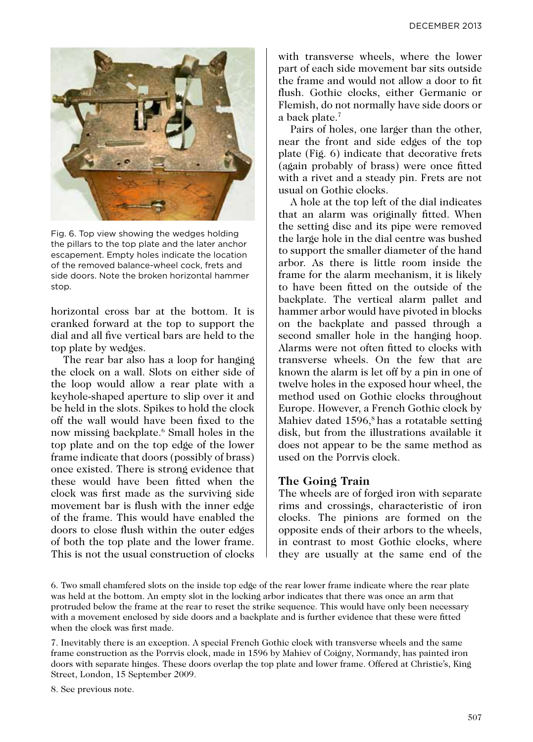

Fig. 6. Top view showing the wedges holding the pillars to the top plate and the later anchor escapement. Empty holes indicate the location of the removed balance-wheel cock, frets and side doors. Note the broken horizontal hammer stop.

horizontal cross bar at the bottom. It is cranked forward at the top to support the dial and all five vertical bars are held to the top plate by wedges.

The rear bar also has a loop for hanging the clock on a wall. Slots on either side of the loop would allow a rear plate with a keyhole-shaped aperture to slip over it and be held in the slots. Spikes to hold the clock off the wall would have been fixed to the now missing backplate.6 Small holes in the top plate and on the top edge of the lower frame indicate that doors (possibly of brass) once existed. There is strong evidence that these would have been fitted when the clock was first made as the surviving side movement bar is flush with the inner edge of the frame. This would have enabled the doors to close flush within the outer edges of both the top plate and the lower frame. This is not the usual construction of clocks

with transverse wheels, where the lower part of each side movement bar sits outside the frame and would not allow a door to fit flush. Gothic clocks, either Germanic or Flemish, do not normally have side doors or a back plate.7

Pairs of holes, one larger than the other, near the front and side edges of the top plate (Fig. 6) indicate that decorative frets (again probably of brass) were once fitted with a rivet and a steady pin. Frets are not usual on Gothic clocks.

A hole at the top left of the dial indicates that an alarm was originally fitted. When the setting disc and its pipe were removed the large hole in the dial centre was bushed to support the smaller diameter of the hand arbor. As there is little room inside the frame for the alarm mechanism, it is likely to have been fitted on the outside of the backplate. The vertical alarm pallet and hammer arbor would have pivoted in blocks on the backplate and passed through a second smaller hole in the hanging hoop. Alarms were not often fitted to clocks with transverse wheels. On the few that are known the alarm is let off by a pin in one of twelve holes in the exposed hour wheel, the method used on Gothic clocks throughout Europe. However, a French Gothic clock by Mahiev dated 1596,<sup>8</sup> has a rotatable setting disk, but from the illustrations available it does not appear to be the same method as used on the Porrvis clock.

#### **The Going Train**

The wheels are of forged iron with separate rims and crossings, characteristic of iron clocks. The pinions are formed on the opposite ends of their arbors to the wheels, in contrast to most Gothic clocks, where they are usually at the same end of the

<sup>6.</sup> Two small chamfered slots on the inside top edge of the rear lower frame indicate where the rear plate was held at the bottom. An empty slot in the locking arbor indicates that there was once an arm that protruded below the frame at the rear to reset the strike sequence. This would have only been necessary with a movement enclosed by side doors and a backplate and is further evidence that these were fitted when the clock was first made.

<sup>7.</sup> Inevitably there is an exception. A special French Gothic clock with transverse wheels and the same frame construction as the Porrvis clock, made in 1596 by Mahiev of Coigny, Normandy, has painted iron doors with separate hinges. These doors overlap the top plate and lower frame. Offered at Christie's, King Street, London, 15 September 2009.

<sup>8.</sup> See previous note.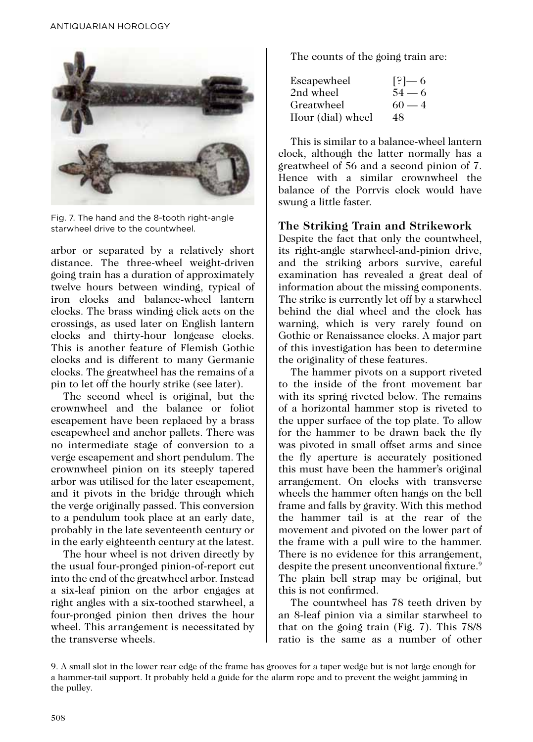

Fig. 7. The hand and the 8-tooth right-angle starwheel drive to the countwheel.

arbor or separated by a relatively short distance. The three-wheel weight-driven going train has a duration of approximately twelve hours between winding, typical of iron clocks and balance-wheel lantern clocks. The brass winding click acts on the crossings, as used later on English lantern clocks and thirty-hour longcase clocks. This is another feature of Flemish Gothic clocks and is different to many Germanic clocks. The greatwheel has the remains of a pin to let off the hourly strike (see later).

The second wheel is original, but the crownwheel and the balance or foliot escapement have been replaced by a brass escapewheel and anchor pallets. There was no intermediate stage of conversion to a verge escapement and short pendulum. The crownwheel pinion on its steeply tapered arbor was utilised for the later escapement, and it pivots in the bridge through which the verge originally passed. This conversion to a pendulum took place at an early date, probably in the late seventeenth century or in the early eighteenth century at the latest.

The hour wheel is not driven directly by the usual four-pronged pinion-of-report cut into the end of the greatwheel arbor. Instead a six-leaf pinion on the arbor engages at right angles with a six-toothed starwheel, a four-pronged pinion then drives the hour wheel. This arrangement is necessitated by the transverse wheels.

The counts of the going train are:

| Escapewheel       | $[?] - 6$ |
|-------------------|-----------|
| 2nd wheel         | $54 - 6$  |
| Greatwheel        | $60 - 4$  |
| Hour (dial) wheel | 48        |

This is similar to a balance-wheel lantern clock, although the latter normally has a greatwheel of 56 and a second pinion of 7. Hence with a similar crownwheel the balance of the Porrvis clock would have swung a little faster.

# **The Striking Train and Strikework**

Despite the fact that only the countwheel, its right-angle starwheel-and-pinion drive, and the striking arbors survive, careful examination has revealed a great deal of information about the missing components. The strike is currently let off by a starwheel behind the dial wheel and the clock has warning, which is very rarely found on Gothic or Renaissance clocks. A major part of this investigation has been to determine the originality of these features.

The hammer pivots on a support riveted to the inside of the front movement bar with its spring riveted below. The remains of a horizontal hammer stop is riveted to the upper surface of the top plate. To allow for the hammer to be drawn back the fly was pivoted in small offset arms and since the fly aperture is accurately positioned this must have been the hammer's original arrangement. On clocks with transverse wheels the hammer often hangs on the bell frame and falls by gravity. With this method the hammer tail is at the rear of the movement and pivoted on the lower part of the frame with a pull wire to the hammer. There is no evidence for this arrangement. despite the present unconventional fixture.<sup>9</sup> The plain bell strap may be original, but this is not confirmed.

The countwheel has 78 teeth driven by an 8-leaf pinion via a similar starwheel to that on the going train (Fig. 7). This 78/8 ratio is the same as a number of other

<sup>9.</sup> A small slot in the lower rear edge of the frame has grooves for a taper wedge but is not large enough for a hammer-tail support. It probably held a guide for the alarm rope and to prevent the weight jamming in the pulley.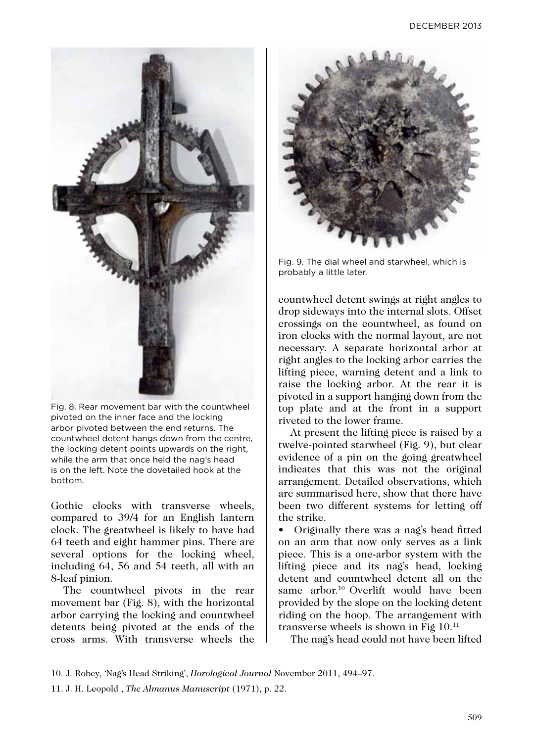

Fig. 8. Rear movement bar with the countwheel pivoted on the inner face and the locking arbor pivoted between the end returns. The countwheel detent hangs down from the centre, the locking detent points upwards on the right, while the arm that once held the nag's head is on the left. Note the dovetailed hook at the bottom.

Gothic clocks with transverse wheels, compared to 39/4 for an English lantern clock. The greatwheel is likely to have had 64 teeth and eight hammer pins. There are several options for the locking wheel, including 64, 56 and 54 teeth, all with an 8-leaf pinion.

The countwheel pivots in the rear movement bar (Fig. 8), with the horizontal arbor carrying the locking and countwheel detents being pivoted at the ends of the cross arms. With transverse wheels the



Fig. 9. The dial wheel and starwheel, which is probably a little later.

countwheel detent swings at right angles to drop sideways into the internal slots. Offset crossings on the countwheel, as found on iron clocks with the normal layout, are not necessary. A separate horizontal arbor at right angles to the locking arbor carries the lifting piece, warning detent and a link to raise the locking arbor. At the rear it is pivoted in a support hanging down from the top plate and at the front in a support riveted to the lower frame.

At present the lifting piece is raised by a twelve-pointed starwheel (Fig. 9), but clear evidence of a pin on the going greatwheel indicates that this was not the original arrangement. Detailed observations, which are summarised here, show that there have been two different systems for letting off the strike.

• Originally there was a nag's head fitted on an arm that now only serves as a link piece. This is a one-arbor system with the lifting piece and its nag's head, locking detent and countwheel detent all on the same arbor.10 Overlift would have been provided by the slope on the locking detent riding on the hoop. The arrangement with transverse wheels is shown in Fig 10.11

The nag's head could not have been lifted

10. J. Robey, 'Nag's Head Striking', *Horological Journal* November 2011, 494–97.

11. J. H. Leopold , *The Almanus Manuscript* (1971), p. 22.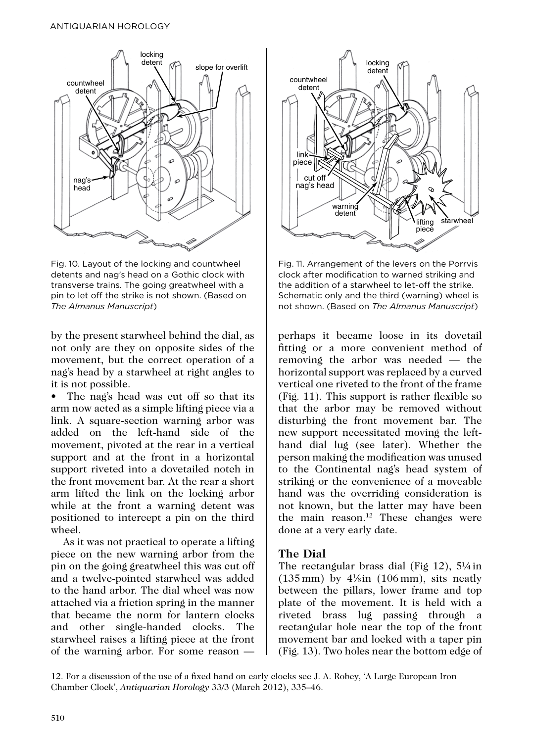#### Antiquarian Horology



Fig. 10. Layout of the locking and countwheel detents and nag's head on a Gothic clock with transverse trains. The going greatwheel with a pin to let off the strike is not shown. (Based on *The Almanus Manuscript*)

by the present starwheel behind the dial, as not only are they on opposite sides of the movement, but the correct operation of a nag's head by a starwheel at right angles to it is not possible.

The nag's head was cut off so that its arm now acted as a simple lifting piece via a link. A square-section warning arbor was added on the left-hand side of the movement, pivoted at the rear in a vertical support and at the front in a horizontal support riveted into a dovetailed notch in the front movement bar. At the rear a short arm lifted the link on the locking arbor while at the front a warning detent was positioned to intercept a pin on the third wheel.

As it was not practical to operate a lifting piece on the new warning arbor from the pin on the going greatwheel this was cut off and a twelve-pointed starwheel was added to the hand arbor. The dial wheel was now attached via a friction spring in the manner that became the norm for lantern clocks and other single-handed clocks. The starwheel raises a lifting piece at the front of the warning arbor. For some reason —



Fig. 11. Arrangement of the levers on the Porrvis clock after modification to warned striking and the addition of a starwheel to let-off the strike. Schematic only and the third (warning) wheel is not shown. (Based on *The Almanus Manuscript*)

perhaps it became loose in its dovetail fitting or a more convenient method of removing the arbor was needed — the horizontal support was replaced by a curved vertical one riveted to the front of the frame (Fig. 11). This support is rather flexible so that the arbor may be removed without disturbing the front movement bar. The new support necessitated moving the lefthand dial lug (see later). Whether the person making the modification was unused to the Continental nag's head system of striking or the convenience of a moveable hand was the overriding consideration is not known, but the latter may have been the main reason.<sup>12</sup> These changes were done at a very early date.

#### **The Dial**

The rectangular brass dial (Fig 12), 5¼ in  $(135 \,\mathrm{mm})$  by  $4\,\mathrm{N}$  in  $(106 \,\mathrm{mm})$ , sits neatly between the pillars, lower frame and top plate of the movement. It is held with a riveted brass lug passing through a rectangular hole near the top of the front movement bar and locked with a taper pin (Fig. 13). Two holes near the bottom edge of

12. For a discussion of the use of a fixed hand on early clocks see J. A. Robey, 'A Large European Iron Chamber Clock', *Antiquarian Horology* 33/3 (March 2012), 335–46.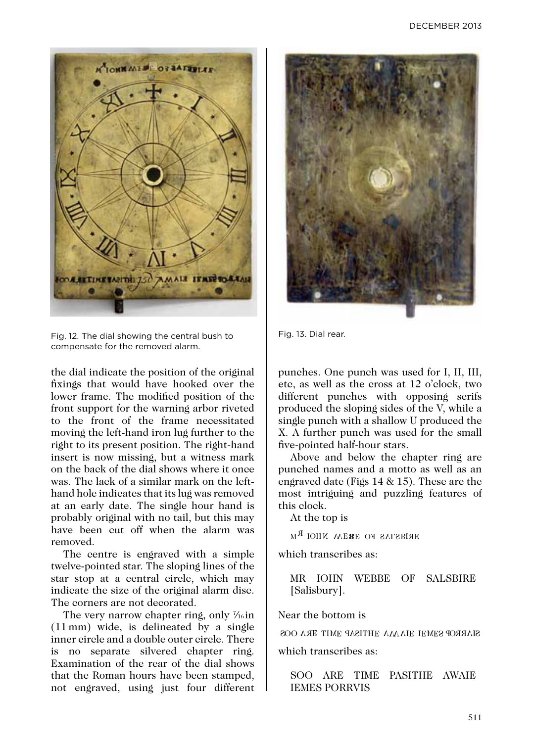

Fig. 12. The dial showing the central bush to compensate for the removed alarm.

the dial indicate the position of the original fixings that would have hooked over the lower frame. The modified position of the front support for the warning arbor riveted to the front of the frame necessitated moving the left-hand iron lug further to the right to its present position. The right-hand insert is now missing, but a witness mark on the back of the dial shows where it once was. The lack of a similar mark on the lefthand hole indicates that its lug was removed at an early date. The single hour hand is probably original with no tail, but this may have been cut off when the alarm was removed.

The centre is engraved with a simple twelve-pointed star. The sloping lines of the star stop at a central circle, which may indicate the size of the original alarm disc. The corners are not decorated.

The very narrow chapter ring, only  $\mathcal{V}_{16}$  in (11 mm) wide, is delineated by a single inner circle and a double outer circle. There is no separate silvered chapter ring. Examination of the rear of the dial shows that the Roman hours have been stamped, not engraved, using just four different



Fig. 13. Dial rear.

punches. One punch was used for I, II, III, etc, as well as the cross at 12 o'clock, two different punches with opposing serifs produced the sloping sides of the V, while a single punch with a shallow U produced the X. A further punch was used for the small five-pointed half-hour stars.

Above and below the chapter ring are punched names and a motto as well as an engraved date (Figs 14 & 15). These are the most intriguing and puzzling features of this clock.

At the top is

 $_{\rm M}$   $_{\rm N}$  respectively and  $_{\rm R}$ 

which transcribes as:

MR IOHN WEBBE OF SALSBIRE [Salisbury].

Near the bottom is

SOO AAE TIME AAA HETISAP AL EEMES OOS

which transcribes as:

SOO ARE TIME PASITHE AWAIE IEMES PORRVIS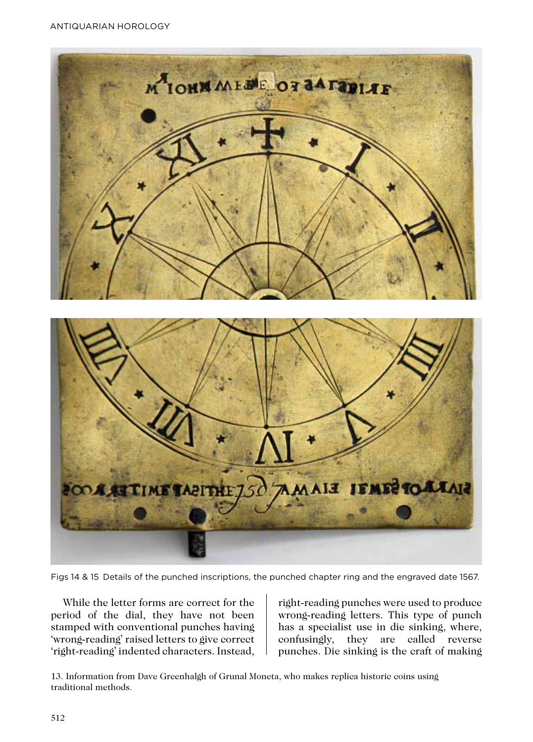Antiquarian Horology



Figs 14 & 15 Details of the punched inscriptions, the punched chapter ring and the engraved date 1567.

While the letter forms are correct for the period of the dial, they have not been stamped with conventional punches having 'wrong-reading' raised letters to give correct 'right-reading' indented characters. Instead,

right-reading punches were used to produce wrong-reading letters. This type of punch has a specialist use in die sinking, where, confusingly, they are called reverse punches. Die sinking is the craft of making

13. Information from Dave Greenhalgh of Grunal Moneta, who makes replica historic coins using traditional methods.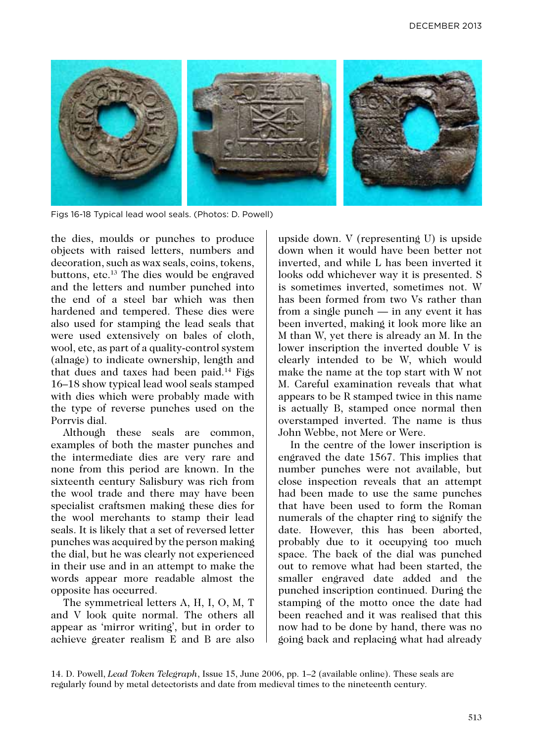

Figs 16-18 Typical lead wool seals. (Photos: D. Powell)

the dies, moulds or punches to produce objects with raised letters, numbers and decoration, such as wax seals, coins, tokens, buttons, etc.<sup>13</sup> The dies would be engraved and the letters and number punched into the end of a steel bar which was then hardened and tempered. These dies were also used for stamping the lead seals that were used extensively on bales of cloth, wool, etc, as part of a quality-control system (alnage) to indicate ownership, length and that dues and taxes had been paid.<sup>14</sup> Figs 16–18 show typical lead wool seals stamped with dies which were probably made with the type of reverse punches used on the Porrvis dial.

Although these seals are common, examples of both the master punches and the intermediate dies are very rare and none from this period are known. In the sixteenth century Salisbury was rich from the wool trade and there may have been specialist craftsmen making these dies for the wool merchants to stamp their lead seals. It is likely that a set of reversed letter punches was acquired by the person making the dial, but he was clearly not experienced in their use and in an attempt to make the words appear more readable almost the opposite has occurred.

The symmetrical letters A, H, I, O, M, T and V look quite normal. The others all appear as 'mirror writing', but in order to achieve greater realism E and B are also

upside down. V (representing U) is upside down when it would have been better not inverted, and while L has been inverted it looks odd whichever way it is presented. S is sometimes inverted, sometimes not. W has been formed from two Vs rather than from a single punch — in any event it has been inverted, making it look more like an M than W, yet there is already an M. In the lower inscription the inverted double V is clearly intended to be W, which would make the name at the top start with W not M. Careful examination reveals that what appears to be R stamped twice in this name is actually B, stamped once normal then overstamped inverted. The name is thus John Webbe, not Mere or Were.

In the centre of the lower inscription is engraved the date 1567. This implies that number punches were not available, but close inspection reveals that an attempt had been made to use the same punches that have been used to form the Roman numerals of the chapter ring to signify the date. However, this has been aborted, probably due to it occupying too much space. The back of the dial was punched out to remove what had been started, the smaller engraved date added and the punched inscription continued. During the stamping of the motto once the date had been reached and it was realised that this now had to be done by hand, there was no going back and replacing what had already

14. D. Powell, *Lead Token Telegraph*, Issue 15, June 2006, pp. 1–2 (available online). These seals are regularly found by metal detectorists and date from medieval times to the nineteenth century.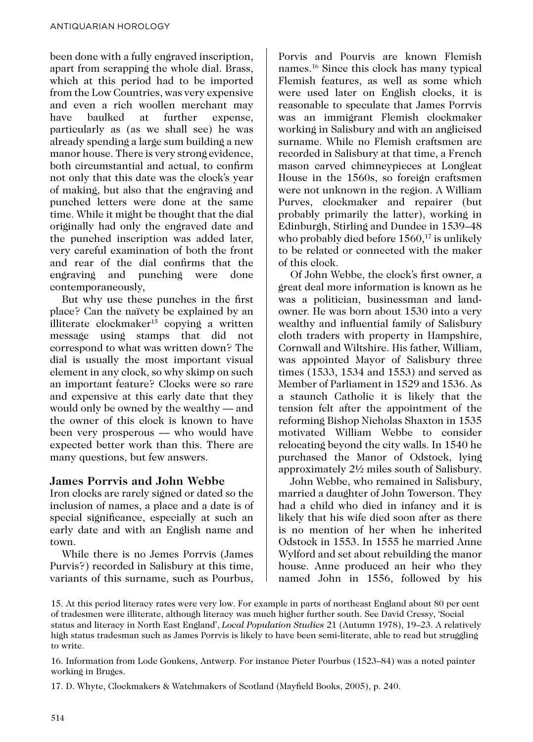been done with a fully engraved inscription, apart from scrapping the whole dial. Brass, which at this period had to be imported from the Low Countries, was very expensive and even a rich woollen merchant may have baulked at further expense, particularly as (as we shall see) he was already spending a large sum building a new manor house. There is very strong evidence, both circumstantial and actual, to confirm not only that this date was the clock's year of making, but also that the engraving and punched letters were done at the same time. While it might be thought that the dial originally had only the engraved date and the punched inscription was added later, very careful examination of both the front and rear of the dial confirms that the engraving and punching were done contemporaneously,

But why use these punches in the first place? Can the naïvety be explained by an illiterate clockmaker15 copying a written message using stamps that did not correspond to what was written down? The dial is usually the most important visual element in any clock, so why skimp on such an important feature? Clocks were so rare and expensive at this early date that they would only be owned by the wealthy — and the owner of this clock is known to have been very prosperous — who would have expected better work than this. There are many questions, but few answers.

# **James Porrvis and John Webbe**

Iron clocks are rarely signed or dated so the inclusion of names, a place and a date is of special significance, especially at such an early date and with an English name and town.

While there is no Jemes Porrvis (James Purvis?) recorded in Salisbury at this time, variants of this surname, such as Pourbus,

Porvis and Pourvis are known Flemish names.16 Since this clock has many typical Flemish features, as well as some which were used later on English clocks, it is reasonable to speculate that James Porrvis was an immigrant Flemish clockmaker working in Salisbury and with an anglicised surname. While no Flemish craftsmen are recorded in Salisbury at that time, a French mason carved chimneypieces at Longleat House in the 1560s, so foreign craftsmen were not unknown in the region. A William Purves, clockmaker and repairer (but probably primarily the latter), working in Edinburgh, Stirling and Dundee in 1539–48 who probably died before  $1560$ ,<sup>17</sup> is unlikely to be related or connected with the maker of this clock.

Of John Webbe, the clock's first owner, a great deal more information is known as he was a politician, businessman and landowner. He was born about 1530 into a very wealthy and influential family of Salisbury cloth traders with property in Hampshire, Cornwall and Wiltshire. His father, William, was appointed Mayor of Salisbury three times (1533, 1534 and 1553) and served as Member of Parliament in 1529 and 1536. As a staunch Catholic it is likely that the tension felt after the appointment of the reforming Bishop Nicholas Shaxton in 1535 motivated William Webbe to consider relocating beyond the city walls. In 1540 he purchased the Manor of Odstock, lying approximately 2½ miles south of Salisbury.

John Webbe, who remained in Salisbury, married a daughter of John Towerson. They had a child who died in infancy and it is likely that his wife died soon after as there is no mention of her when he inherited Odstock in 1553. In 1555 he married Anne Wylford and set about rebuilding the manor house. Anne produced an heir who they named John in 1556, followed by his

17. D. Whyte, Clockmakers & Watchmakers of Scotland (Mayfield Books, 2005), p. 240.

<sup>15.</sup> At this period literacy rates were very low. For example in parts of northeast England about 80 per cent of tradesmen were illiterate, although literacy was much higher further south. See David Cressy, 'Social

status and literacy in North East England', *Local Population Studies* 21 (Autumn 1978), 19–23. A relatively high status tradesman such as James Porrvis is likely to have been semi-literate, able to read but struggling to write.

<sup>16.</sup> Information from Lode Goukens, Antwerp. For instance Pieter Pourbus (1523–84) was a noted painter working in Bruges.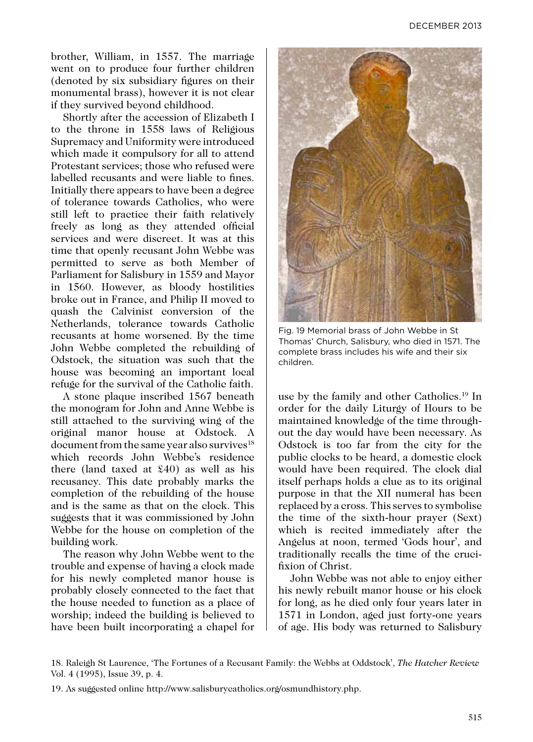brother, William, in 1557. The marriage went on to produce four further children (denoted by six subsidiary figures on their monumental brass), however it is not clear if they survived beyond childhood.

Shortly after the accession of Elizabeth I to the throne in 1558 laws of Religious Supremacy and Uniformity were introduced which made it compulsory for all to attend Protestant services; those who refused were labelled recusants and were liable to fines. Initially there appears to have been a degree of tolerance towards Catholics, who were still left to practice their faith relatively freely as long as they attended official services and were discreet. It was at this time that openly recusant John Webbe was permitted to serve as both Member of Parliament for Salisbury in 1559 and Mayor in 1560. However, as bloody hostilities broke out in France, and Philip II moved to quash the Calvinist conversion of the Netherlands, tolerance towards Catholic recusants at home worsened. By the time John Webbe completed the rebuilding of Odstock, the situation was such that the house was becoming an important local refuge for the survival of the Catholic faith.

A stone plaque inscribed 1567 beneath the monogram for John and Anne Webbe is still attached to the surviving wing of the original manor house at Odstock. A document from the same year also survives $18$ which records John Webbe's residence there (land taxed at £40) as well as his recusancy. This date probably marks the completion of the rebuilding of the house and is the same as that on the clock. This suggests that it was commissioned by John Webbe for the house on completion of the building work.

The reason why John Webbe went to the trouble and expense of having a clock made for his newly completed manor house is probably closely connected to the fact that the house needed to function as a place of worship; indeed the building is believed to have been built incorporating a chapel for



Fig. 19 Memorial brass of John Webbe in St Thomas' Church, Salisbury, who died in 1571. The complete brass includes his wife and their six children.

use by the family and other Catholics.19 In order for the daily Liturgy of Hours to be maintained knowledge of the time throughout the day would have been necessary. As Odstock is too far from the city for the public clocks to be heard, a domestic clock would have been required. The clock dial itself perhaps holds a clue as to its original purpose in that the XII numeral has been replaced by a cross. This serves to symbolise the time of the sixth-hour prayer (Sext) which is recited immediately after the Angelus at noon, termed 'Gods hour', and traditionally recalls the time of the crucifixion of Christ.

John Webbe was not able to enjoy either his newly rebuilt manor house or his clock for long, as he died only four years later in 1571 in London, aged just forty-one years of age. His body was returned to Salisbury

<sup>18.</sup> Raleigh St Laurence, 'The Fortunes of a Recusant Family: the Webbs at Oddstock', *The Hatcher Review* Vol. 4 (1995), Issue 39, p. 4.

<sup>19.</sup> As suggested online http://www.salisburycatholics.org/osmundhistory.php.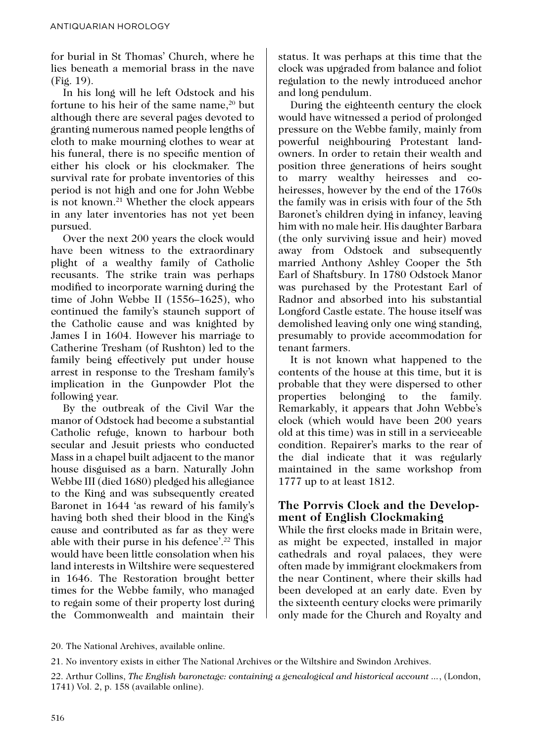for burial in St Thomas' Church, where he lies beneath a memorial brass in the nave (Fig. 19).

In his long will he left Odstock and his fortune to his heir of the same name, $20$  but although there are several pages devoted to granting numerous named people lengths of cloth to make mourning clothes to wear at his funeral, there is no specific mention of either his clock or his clockmaker. The survival rate for probate inventories of this period is not high and one for John Webbe is not known.21 Whether the clock appears in any later inventories has not yet been pursued.

Over the next 200 years the clock would have been witness to the extraordinary plight of a wealthy family of Catholic recusants. The strike train was perhaps modified to incorporate warning during the time of John Webbe II (1556–1625), who continued the family's staunch support of the Catholic cause and was knighted by James I in 1604. However his marriage to Catherine Tresham (of Rushton) led to the family being effectively put under house arrest in response to the Tresham family's implication in the Gunpowder Plot the following year.

By the outbreak of the Civil War the manor of Odstock had become a substantial Catholic refuge, known to harbour both secular and Jesuit priests who conducted Mass in a chapel built adjacent to the manor house disguised as a barn. Naturally John Webbe III (died 1680) pledged his allegiance to the King and was subsequently created Baronet in 1644 'as reward of his family's having both shed their blood in the King's cause and contributed as far as they were able with their purse in his defence'.22 This would have been little consolation when his land interests in Wiltshire were sequestered in 1646. The Restoration brought better times for the Webbe family, who managed to regain some of their property lost during the Commonwealth and maintain their status. It was perhaps at this time that the clock was upgraded from balance and foliot regulation to the newly introduced anchor and long pendulum.

During the eighteenth century the clock would have witnessed a period of prolonged pressure on the Webbe family, mainly from powerful neighbouring Protestant landowners. In order to retain their wealth and position three generations of heirs sought to marry wealthy heiresses and coheiresses, however by the end of the 1760s the family was in crisis with four of the 5th Baronet's children dying in infancy, leaving him with no male heir. His daughter Barbara (the only surviving issue and heir) moved away from Odstock and subsequently married Anthony Ashley Cooper the 5th Earl of Shaftsbury. In 1780 Odstock Manor was purchased by the Protestant Earl of Radnor and absorbed into his substantial Longford Castle estate. The house itself was demolished leaving only one wing standing, presumably to provide accommodation for tenant farmers.

It is not known what happened to the contents of the house at this time, but it is probable that they were dispersed to other properties belonging to the family. Remarkably, it appears that John Webbe's clock (which would have been 200 years old at this time) was in still in a serviceable condition. Repairer's marks to the rear of the dial indicate that it was regularly maintained in the same workshop from 1777 up to at least 1812.

### **The Porrvis Clock and the Development of English Clockmaking**

While the first clocks made in Britain were, as might be expected, installed in major cathedrals and royal palaces, they were often made by immigrant clockmakers from the near Continent, where their skills had been developed at an early date. Even by the sixteenth century clocks were primarily only made for the Church and Royalty and

<sup>20.</sup> The National Archives, available online.

<sup>21.</sup> No inventory exists in either The National Archives or the Wiltshire and Swindon Archives.

<sup>22.</sup> Arthur Collins, *The English baronetage: containing a genealogical and historical account ...*, (London, 1741) Vol. 2, p. 158 (available online).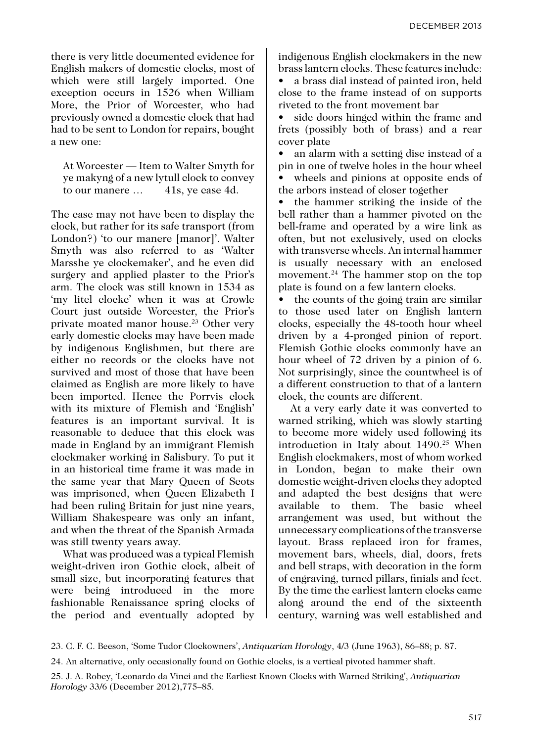there is very little documented evidence for English makers of domestic clocks, most of which were still largely imported. One exception occurs in 1526 when William More, the Prior of Worcester, who had previously owned a domestic clock that had had to be sent to London for repairs, bought a new one:

At Worcester — Item to Walter Smyth for ye makyng of a new lytull clock to convey to our manere ... 41s, ye case 4d.

The case may not have been to display the clock, but rather for its safe transport (from London?) 'to our manere [manor]'. Walter Smyth was also referred to as 'Walter Marsshe ye clockemaker', and he even did surgery and applied plaster to the Prior's arm. The clock was still known in 1534 as 'my litel clocke' when it was at Crowle Court just outside Worcester, the Prior's private moated manor house.23 Other very early domestic clocks may have been made by indigenous Englishmen, but there are either no records or the clocks have not survived and most of those that have been claimed as English are more likely to have been imported. Hence the Porrvis clock with its mixture of Flemish and 'English' features is an important survival. It is reasonable to deduce that this clock was made in England by an immigrant Flemish clockmaker working in Salisbury. To put it in an historical time frame it was made in the same year that Mary Queen of Scots was imprisoned, when Queen Elizabeth I had been ruling Britain for just nine years, William Shakespeare was only an infant, and when the threat of the Spanish Armada was still twenty years away.

What was produced was a typical Flemish weight-driven iron Gothic clock, albeit of small size, but incorporating features that were being introduced in the more fashionable Renaissance spring clocks of the period and eventually adopted by indigenous English clockmakers in the new brass lantern clocks. These features include:

• a brass dial instead of painted iron, held close to the frame instead of on supports riveted to the front movement bar

• side doors hinged within the frame and frets (possibly both of brass) and a rear cover plate

• an alarm with a setting disc instead of a pin in one of twelve holes in the hour wheel wheels and pinions at opposite ends of the arbors instead of closer together

• the hammer striking the inside of the bell rather than a hammer pivoted on the bell-frame and operated by a wire link as often, but not exclusively, used on clocks with transverse wheels. An internal hammer is usually necessary with an enclosed movement.<sup>24</sup> The hammer stop on the top plate is found on a few lantern clocks.

• the counts of the going train are similar to those used later on English lantern clocks, especially the 48-tooth hour wheel driven by a 4-pronged pinion of report. Flemish Gothic clocks commonly have an hour wheel of 72 driven by a pinion of 6. Not surprisingly, since the countwheel is of a different construction to that of a lantern clock, the counts are different.

At a very early date it was converted to warned striking, which was slowly starting to become more widely used following its introduction in Italy about 1490.<sup>25</sup> When English clockmakers, most of whom worked in London, began to make their own domestic weight-driven clocks they adopted and adapted the best designs that were available to them. The basic wheel arrangement was used, but without the unnecessary complications of the transverse layout. Brass replaced iron for frames, movement bars, wheels, dial, doors, frets and bell straps, with decoration in the form of engraving, turned pillars, finials and feet. By the time the earliest lantern clocks came along around the end of the sixteenth century, warning was well established and

23. C. F. C. Beeson, 'Some Tudor Clockowners', *Antiquarian Horology*, 4/3 (June 1963), 86–88; p. 87.

24. An alternative, only occasionally found on Gothic clocks, is a vertical pivoted hammer shaft.

<sup>25.</sup> J. A. Robey, 'Leonardo da Vinci and the Earliest Known Clocks with Warned Striking', *Antiquarian Horology* 33/6 (December 2012),775–85.